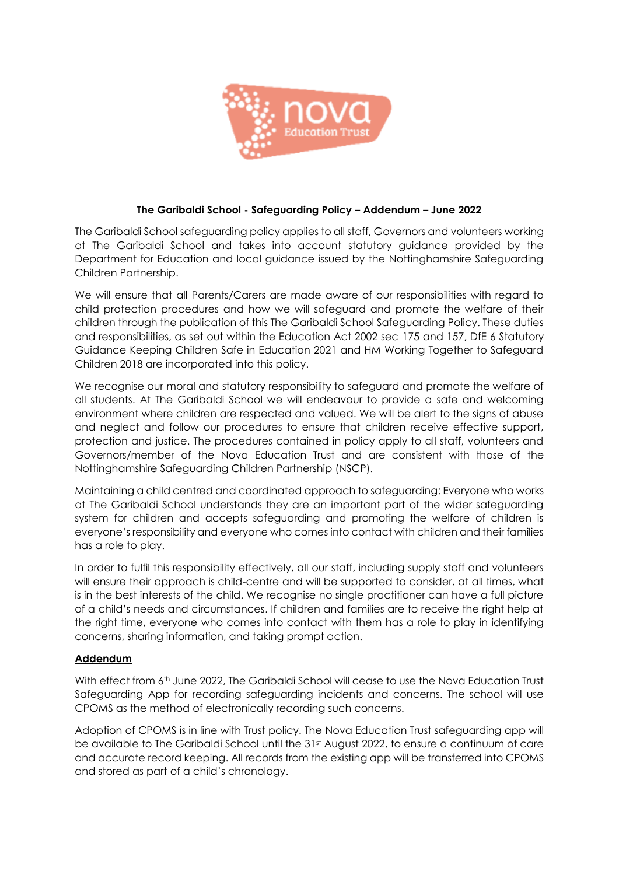

## **The Garibaldi School - Safeguarding Policy – Addendum – June 2022**

The Garibaldi School safeguarding policy applies to all staff, Governors and volunteers working at The Garibaldi School and takes into account statutory guidance provided by the Department for Education and local guidance issued by the Nottinghamshire Safeguarding Children Partnership.

We will ensure that all Parents/Carers are made aware of our responsibilities with regard to child protection procedures and how we will safeguard and promote the welfare of their children through the publication of this The Garibaldi School Safeguarding Policy. These duties and responsibilities, as set out within the Education Act 2002 sec 175 and 157, DfE 6 Statutory Guidance Keeping Children Safe in Education 2021 and HM Working Together to Safeguard Children 2018 are incorporated into this policy.

We recognise our moral and statutory responsibility to safeguard and promote the welfare of all students. At The Garibaldi School we will endeavour to provide a safe and welcoming environment where children are respected and valued. We will be alert to the signs of abuse and neglect and follow our procedures to ensure that children receive effective support, protection and justice. The procedures contained in policy apply to all staff, volunteers and Governors/member of the Nova Education Trust and are consistent with those of the Nottinghamshire Safeguarding Children Partnership (NSCP).

Maintaining a child centred and coordinated approach to safeguarding: Everyone who works at The Garibaldi School understands they are an important part of the wider safeguarding system for children and accepts safeguarding and promoting the welfare of children is everyone's responsibility and everyone who comes into contact with children and their families has a role to play.

In order to fulfil this responsibility effectively, all our staff, including supply staff and volunteers will ensure their approach is child-centre and will be supported to consider, at all times, what is in the best interests of the child. We recognise no single practitioner can have a full picture of a child's needs and circumstances. If children and families are to receive the right help at the right time, everyone who comes into contact with them has a role to play in identifying concerns, sharing information, and taking prompt action.

## **Addendum**

With effect from 6<sup>th</sup> June 2022, The Garibaldi School will cease to use the Nova Education Trust Safeguarding App for recording safeguarding incidents and concerns. The school will use CPOMS as the method of electronically recording such concerns.

Adoption of CPOMS is in line with Trust policy. The Nova Education Trust safeguarding app will be available to The Garibaldi School until the 31<sup>st</sup> August 2022, to ensure a continuum of care and accurate record keeping. All records from the existing app will be transferred into CPOMS and stored as part of a child's chronology.